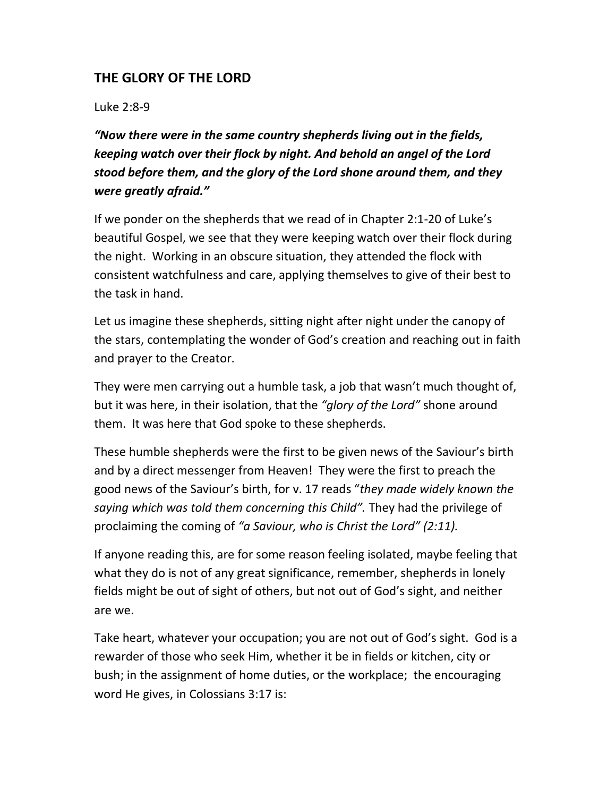## THE GLORY OF THE LORD

Luke 2:8-9

"Now there were in the same country shepherds living out in the fields, keeping watch over their flock by night. And behold an angel of the Lord stood before them, and the glory of the Lord shone around them, and they were greatly afraid."

If we ponder on the shepherds that we read of in Chapter 2:1-20 of Luke's beautiful Gospel, we see that they were keeping watch over their flock during the night. Working in an obscure situation, they attended the flock with consistent watchfulness and care, applying themselves to give of their best to the task in hand.

Let us imagine these shepherds, sitting night after night under the canopy of the stars, contemplating the wonder of God's creation and reaching out in faith and prayer to the Creator.

They were men carrying out a humble task, a job that wasn't much thought of, but it was here, in their isolation, that the "glory of the Lord" shone around them. It was here that God spoke to these shepherds.

These humble shepherds were the first to be given news of the Saviour's birth and by a direct messenger from Heaven! They were the first to preach the good news of the Saviour's birth, for v. 17 reads "they made widely known the saying which was told them concerning this Child". They had the privilege of proclaiming the coming of "a Saviour, who is Christ the Lord" (2:11).

If anyone reading this, are for some reason feeling isolated, maybe feeling that what they do is not of any great significance, remember, shepherds in lonely fields might be out of sight of others, but not out of God's sight, and neither are we.

Take heart, whatever your occupation; you are not out of God's sight. God is a rewarder of those who seek Him, whether it be in fields or kitchen, city or bush; in the assignment of home duties, or the workplace; the encouraging word He gives, in Colossians 3:17 is: